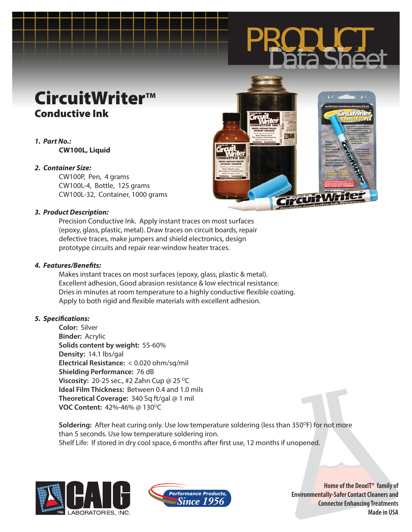# PRODUCT<br>Data Sheet

CircuitW

## **CircuitWriter™ Conductive Ink**

#### **1. Part No.:**

**CW100L, Liquid**

#### **2. Container Size:**

 CW100P, Pen, 4 grams CW100L-4, Bottle, 125 grams CW100L-32, Container, 1000 grams

#### **3. Product Description:**

 Precision Conductive Ink. Apply instant traces on most surfaces (epoxy, glass, plastic, metal). Draw traces on circuit boards, repair defective traces, make jumpers and shield electronics, design prototype circuits and repair rear-window heater traces.

#### **4. Features/Benefits:**

 Makes instant traces on most surfaces (epoxy, glass, plastic & metal). Excellent adhesion, Good abrasion resistance & low electrical resistance. Dries in minutes at room temperature to a highly conductive flexible coating. Apply to both rigid and flexible materials with excellent adhesion.

#### **5. Specifications:**

 **Color:** Silver **Binder:** Acrylic **Solids content by weight:** 55-60% **Density:** 14.1 lbs/gal **Electrical Resistance:** < 0.020 ohm/sq/mil **Shielding Performance:** 76 dB **Viscosity: 20-25 sec., #2 Zahn Cup @ 25 °C Ideal Film Thickness:** Between 0.4 and 1.0 mils **Theoretical Coverage:** 340 Sq ft/gal @ 1 mil **VOC Content: 42%-46% @ 130°C** 

**Soldering:** After heat curing only. Use low temperature soldering (less than 350°F) for not more than 5 seconds. Use low temperature soldering iron. Shelf Life: If stored in dry cool space, 6 months after first use, 12 months if unopened.





**Home of the DeoxIT® family of Environmentally-Safer Contact Cleaners and Connector Enhancing Treatments Made in USA**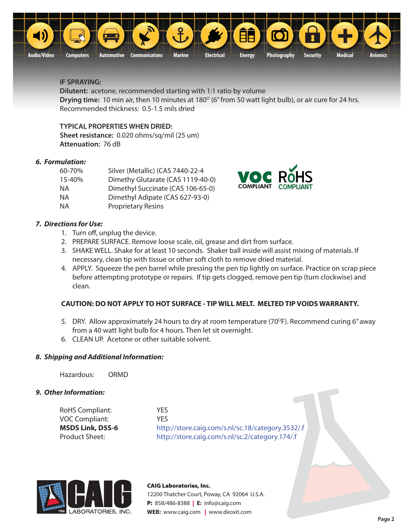

#### **IF SPRAYING:**

**Dilutent:** acetone, recommended starting with 1:1 ratio by volume **Drying time:** 10 min air, then 10 minutes at 180<sup>°</sup> (6" from 50 watt light bulb), or air cure for 24 hrs. Recommended thickness: 0.5-1.5 mils dried

#### **TYPICAL PROPERTIES WHEN DRIED:**

**Sheet resistance:** 0.020 ohms/sq/mil (25 um) **Attenuation:** 76 dB

#### **6. Formulation:**

| 60-70% | Silver (Metallic) (CAS 7440-22-4  |
|--------|-----------------------------------|
| 15-40% | Dimethy Glutarate (CAS 1119-40-0) |
| ΝA     | Dimethyl Succinate (CAS 106-65-0) |
| ΝA     | Dimethyl Adipate (CAS 627-93-0)   |
| ΝA     | <b>Proprietary Resins</b>         |

#### **7. Directions for Use:**

- 1. Turn off, unplug the device.
- 2. PREPARE SURFACE. Remove loose scale, oil, grease and dirt from surface.
- 3. SHAKE WELL. Shake for at least 10 seconds. Shaker ball inside will assist mixing of materials. If necessary, clean tip with tissue or other soft cloth to remove dried material.
- 4. APPLY. Squeeze the pen barrel while pressing the pen tip lightly on surface. Practice on scrap piece before attempting prototype or repairs. If tip gets clogged, remove pen tip (turn clockwise) and clean.

#### **CAUTION: DO NOT APPLY TO HOT SURFACE - TIP WILL MELT. MELTED TIP VOIDS WARRANTY.**

- 5. DRY. Allow approximately 24 hours to dry at room temperature (70°F). Recommend curing 6" away from a 40 watt light bulb for 4 hours. Then let sit overnight.
- 6. CLEAN UP. Acetone or other suitable solvent.

#### **8. Shipping and Additional Information:**

Hazardous: ORMD

#### **9. Other Information:**

 RoHS Compliant: YES VOC Compliant: YES

**MSDS Link, D5S-6** http://store.caig.com/s.nl/sc.18/category.3532/.f Product Sheet: http://store.caig.com/s.nl/sc.2/category.174/.f



#### **CAIG Laboratories, Inc.**

12200 Thatcher Court, Poway, CA 92064U.S.A. **P:** 858/486-8388 **| E:** info@caig.com **WEB:** www.caig.com **|** www.deoxit.com